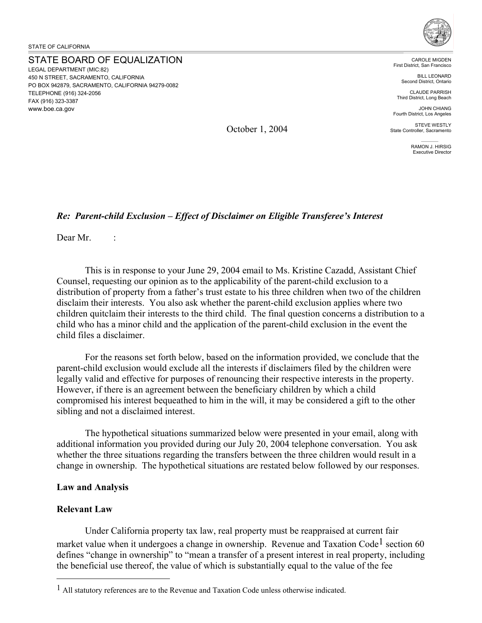#### STATE BOARD OF EQUALIZATION

LEGAL DEPARTMENT (MIC:82) 450 N STREET, SACRAMENTO, CALIFORNIA PO BOX 942879, SACRAMENTO, CALIFORNIA 94279-0082 TELEPHONE (916) 324-2056 FAX (916) 323-3387 <www.boe.ca.gov>



CAROLE MIGDEN First District, San Francisco

> BILL LEONARD Second District, Ontario

CLAUDE PARRISH Third District, Long Beach

JOHN CHIANG Fourth District, Los Angeles

STEVE WESTLY State Controller, Sacramento

> RAMON J. HIRSIG Executive Director

### *Re: Parent-child Exclusion – Effect of Disclaimer on Eligible Transferee's Interest*

Dear Mr. :

This is in response to your June 29, 2004 email to Ms. Kristine Cazadd, Assistant Chief Counsel, requesting our opinion as to the applicability of the parent-child exclusion to a distribution of property from a father's trust estate to his three children when two of the children disclaim their interests. You also ask whether the parent-child exclusion applies where two children quitclaim their interests to the third child. The final question concerns a distribution to a child who has a minor child and the application of the parent-child exclusion in the event the child files a disclaimer.

October 1, 2004

For the reasons set forth below, based on the information provided, we conclude that the parent-child exclusion would exclude all the interests if disclaimers filed by the children were legally valid and effective for purposes of renouncing their respective interests in the property. However, if there is an agreement between the beneficiary children by which a child compromised his interest bequeathed to him in the will, it may be considered a gift to the other sibling and not a disclaimed interest.

The hypothetical situations summarized below were presented in your email, along with additional information you provided during our July 20, 2004 telephone conversation. You ask whether the three situations regarding the transfers between the three children would result in a change in ownership. The hypothetical situations are restated below followed by our responses.

### **Law and Analysis**

### **Relevant Law**

 $\overline{a}$ 

Under California property tax law, real property must be reappraised at current fair market value when it undergoes a change in ownership. Revenue and Taxation Code<sup>1</sup> section 60 defines "change in ownership" to "mean a transfer of a present interest in real property, including the beneficial use thereof, the value of which is substantially equal to the value of the fee

<sup>1</sup> All statutory references are to the Revenue and Taxation Code unless otherwise indicated.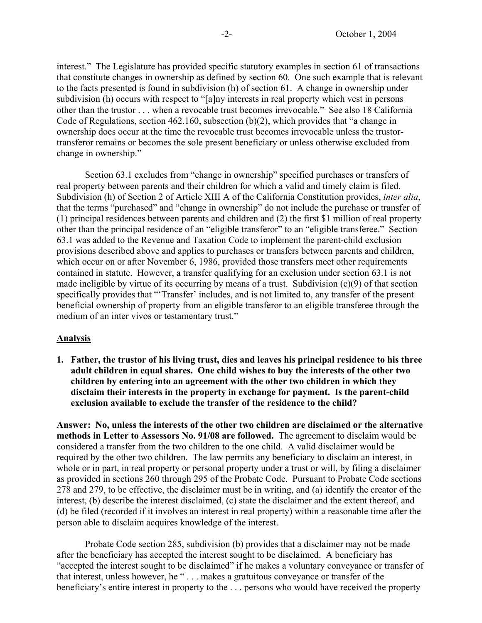interest." The Legislature has provided specific statutory examples in section 61 of transactions that constitute changes in ownership as defined by section 60. One such example that is relevant to the facts presented is found in subdivision (h) of section 61. A change in ownership under subdivision (h) occurs with respect to "[a]ny interests in real property which vest in persons other than the trustor . . . when a revocable trust becomes irrevocable." See also 18 California Code of Regulations, section 462.160, subsection (b)(2), which provides that "a change in ownership does occur at the time the revocable trust becomes irrevocable unless the trustortransferor remains or becomes the sole present beneficiary or unless otherwise excluded from change in ownership."

Section 63.1 excludes from "change in ownership" specified purchases or transfers of real property between parents and their children for which a valid and timely claim is filed. Subdivision (h) of Section 2 of Article XIII A of the California Constitution provides, *inter alia*, that the terms "purchased" and "change in ownership" do not include the purchase or transfer of (1) principal residences between parents and children and (2) the first \$1 million of real property other than the principal residence of an "eligible transferor" to an "eligible transferee." Section 63.1 was added to the Revenue and Taxation Code to implement the parent-child exclusion provisions described above and applies to purchases or transfers between parents and children, which occur on or after November 6, 1986, provided those transfers meet other requirements contained in statute. However, a transfer qualifying for an exclusion under section 63.1 is not made ineligible by virtue of its occurring by means of a trust. Subdivision (c)(9) of that section specifically provides that "'Transfer' includes, and is not limited to, any transfer of the present beneficial ownership of property from an eligible transferor to an eligible transferee through the medium of an inter vivos or testamentary trust."

### **Analysis**

**1. Father, the trustor of his living trust, dies and leaves his principal residence to his three adult children in equal shares. One child wishes to buy the interests of the other two children by entering into an agreement with the other two children in which they disclaim their interests in the property in exchange for payment. Is the parent-child exclusion available to exclude the transfer of the residence to the child?** 

required by the other two children. The law permits any beneficiary to disclaim an interest, in **Answer: No, unless the interests of the other two children are disclaimed or the alternative methods in Letter to Assessors No. 91/08 are followed.** The agreement to disclaim would be considered a transfer from the two children to the one child. A valid disclaimer would be whole or in part, in real property or personal property under a trust or will, by filing a disclaimer as provided in sections 260 through 295 of the Probate Code. Pursuant to Probate Code sections 278 and 279, to be effective, the disclaimer must be in writing, and (a) identify the creator of the interest, (b) describe the interest disclaimed, (c) state the disclaimer and the extent thereof, and (d) be filed (recorded if it involves an interest in real property) within a reasonable time after the person able to disclaim acquires knowledge of the interest.

Probate Code section 285, subdivision (b) provides that a disclaimer may not be made after the beneficiary has accepted the interest sought to be disclaimed. A beneficiary has "accepted the interest sought to be disclaimed" if he makes a voluntary conveyance or transfer of that interest, unless however, he " . . . makes a gratuitous conveyance or transfer of the beneficiary's entire interest in property to the . . . persons who would have received the property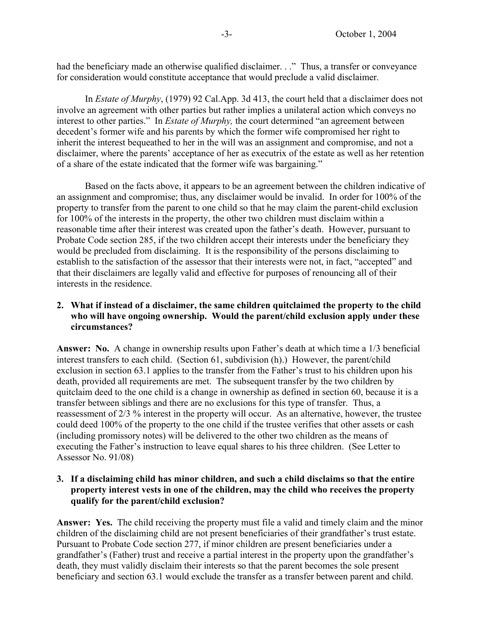had the beneficiary made an otherwise qualified disclaimer. . ." Thus, a transfer or conveyance for consideration would constitute acceptance that would preclude a valid disclaimer.

In *Estate of Murphy*, (1979) 92 Cal.App. 3d 413, the court held that a disclaimer does not involve an agreement with other parties but rather implies a unilateral action which conveys no interest to other parties." In *Estate of Murphy,* the court determined "an agreement between decedent's former wife and his parents by which the former wife compromised her right to inherit the interest bequeathed to her in the will was an assignment and compromise, and not a disclaimer, where the parents' acceptance of her as executrix of the estate as well as her retention of a share of the estate indicated that the former wife was bargaining."

Based on the facts above, it appears to be an agreement between the children indicative of an assignment and compromise; thus, any disclaimer would be invalid. In order for 100% of the property to transfer from the parent to one child so that he may claim the parent-child exclusion for 100% of the interests in the property, the other two children must disclaim within a reasonable time after their interest was created upon the father's death. However, pursuant to Probate Code section 285, if the two children accept their interests under the beneficiary they would be precluded from disclaiming. It is the responsibility of the persons disclaiming to establish to the satisfaction of the assessor that their interests were not, in fact, "accepted" and that their disclaimers are legally valid and effective for purposes of renouncing all of their interests in the residence.

# **2. What if instead of a disclaimer, the same children quitclaimed the property to the child who will have ongoing ownership. Would the parent/child exclusion apply under these circumstances?**

**Answer: No.** A change in ownership results upon Father's death at which time a 1/3 beneficial interest transfers to each child. (Section 61, subdivision (h).) However, the parent/child exclusion in section 63.1 applies to the transfer from the Father's trust to his children upon his death, provided all requirements are met. The subsequent transfer by the two children by quitclaim deed to the one child is a change in ownership as defined in section 60, because it is a transfer between siblings and there are no exclusions for this type of transfer. Thus, a reassessment of 2/3 % interest in the property will occur. As an alternative, however, the trustee could deed 100% of the property to the one child if the trustee verifies that other assets or cash (including promissory notes) will be delivered to the other two children as the means of executing the Father's instruction to leave equal shares to his three children. (See Letter to Assessor No. 91/08)

## **3. If a disclaiming child has minor children, and such a child disclaims so that the entire property interest vests in one of the children, may the child who receives the property qualify for the parent/child exclusion?**

**Answer: Yes.** The child receiving the property must file a valid and timely claim and the minor children of the disclaiming child are not present beneficiaries of their grandfather's trust estate. Pursuant to Probate Code section 277, if minor children are present beneficiaries under a grandfather's (Father) trust and receive a partial interest in the property upon the grandfather's death, they must validly disclaim their interests so that the parent becomes the sole present beneficiary and section 63.1 would exclude the transfer as a transfer between parent and child.